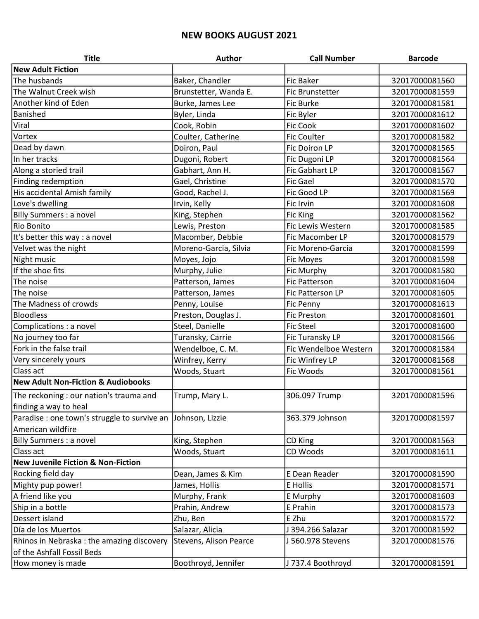## NEW BOOKS AUGUST 2021

| <b>Title</b>                                  | Author                        | <b>Call Number</b>      | <b>Barcode</b> |
|-----------------------------------------------|-------------------------------|-------------------------|----------------|
| <b>New Adult Fiction</b>                      |                               |                         |                |
| The husbands                                  | Baker, Chandler               | <b>Fic Baker</b>        | 32017000081560 |
| The Walnut Creek wish                         | Brunstetter, Wanda E.         | <b>Fic Brunstetter</b>  | 32017000081559 |
| Another kind of Eden                          | Burke, James Lee              | <b>Fic Burke</b>        | 32017000081581 |
| Banished                                      | Byler, Linda                  | Fic Byler               | 32017000081612 |
| Viral                                         | Cook, Robin                   | <b>Fic Cook</b>         | 32017000081602 |
| Vortex                                        | Coulter, Catherine            | <b>Fic Coulter</b>      | 32017000081582 |
| Dead by dawn                                  | Doiron, Paul                  | <b>Fic Doiron LP</b>    | 32017000081565 |
| In her tracks                                 | Dugoni, Robert                | Fic Dugoni LP           | 32017000081564 |
| Along a storied trail                         | Gabhart, Ann H.               | Fic Gabhart LP          | 32017000081567 |
| Finding redemption                            | Gael, Christine               | <b>Fic Gael</b>         | 32017000081570 |
| His accidental Amish family                   | Good, Rachel J.               | Fic Good LP             | 32017000081569 |
| Love's dwelling                               | Irvin, Kelly                  | Fic Irvin               | 32017000081608 |
| <b>Billy Summers : a novel</b>                | King, Stephen                 | <b>Fic King</b>         | 32017000081562 |
| Rio Bonito                                    | Lewis, Preston                | Fic Lewis Western       | 32017000081585 |
| It's better this way : a novel                | Macomber, Debbie              | Fic Macomber LP         | 32017000081579 |
| Velvet was the night                          | Moreno-Garcia, Silvia         | Fic Moreno-Garcia       | 32017000081599 |
| Night music                                   | Moyes, Jojo                   | <b>Fic Moyes</b>        | 32017000081598 |
| If the shoe fits                              | Murphy, Julie                 | Fic Murphy              | 32017000081580 |
| The noise                                     | Patterson, James              | <b>Fic Patterson</b>    | 32017000081604 |
| The noise                                     | Patterson, James              | <b>Fic Patterson LP</b> | 32017000081605 |
| The Madness of crowds                         | Penny, Louise                 | <b>Fic Penny</b>        | 32017000081613 |
| <b>Bloodless</b>                              | Preston, Douglas J.           | <b>Fic Preston</b>      | 32017000081601 |
| Complications : a novel                       | Steel, Danielle               | <b>Fic Steel</b>        | 32017000081600 |
| No journey too far                            | Turansky, Carrie              | Fic Turansky LP         | 32017000081566 |
| Fork in the false trail                       | Wendelboe, C. M.              | Fic Wendelboe Western   | 32017000081584 |
| Very sincerely yours                          | Winfrey, Kerry                | Fic Winfrey LP          | 32017000081568 |
| Class act                                     | Woods, Stuart                 | <b>Fic Woods</b>        | 32017000081561 |
| <b>New Adult Non-Fiction &amp; Audiobooks</b> |                               |                         |                |
| The reckoning : our nation's trauma and       | Trump, Mary L.                | 306.097 Trump           | 32017000081596 |
| finding a way to heal                         |                               |                         |                |
| Paradise : one town's struggle to survive an  | Johnson, Lizzie               | 363.379 Johnson         | 32017000081597 |
| American wildfire                             |                               |                         |                |
| Billy Summers : a novel                       | King, Stephen                 | CD King                 | 32017000081563 |
| Class act                                     | Woods, Stuart                 | CD Woods                | 32017000081611 |
| <b>New Juvenile Fiction &amp; Non-Fiction</b> |                               |                         |                |
| Rocking field day                             | Dean, James & Kim             | E Dean Reader           | 32017000081590 |
| Mighty pup power!                             | James, Hollis                 | E Hollis                | 32017000081571 |
| A friend like you                             | Murphy, Frank                 | E Murphy                | 32017000081603 |
| Ship in a bottle                              | Prahin, Andrew                | E Prahin                | 32017000081573 |
| Dessert island                                | Zhu, Ben                      | E Zhu                   | 32017000081572 |
| Día de los Muertos                            | Salazar, Alicia               | J 394.266 Salazar       | 32017000081592 |
| Rhinos in Nebraska: the amazing discovery     | <b>Stevens, Alison Pearce</b> | J 560.978 Stevens       | 32017000081576 |
| of the Ashfall Fossil Beds                    |                               |                         |                |
| How money is made                             | Boothroyd, Jennifer           | J 737.4 Boothroyd       | 32017000081591 |